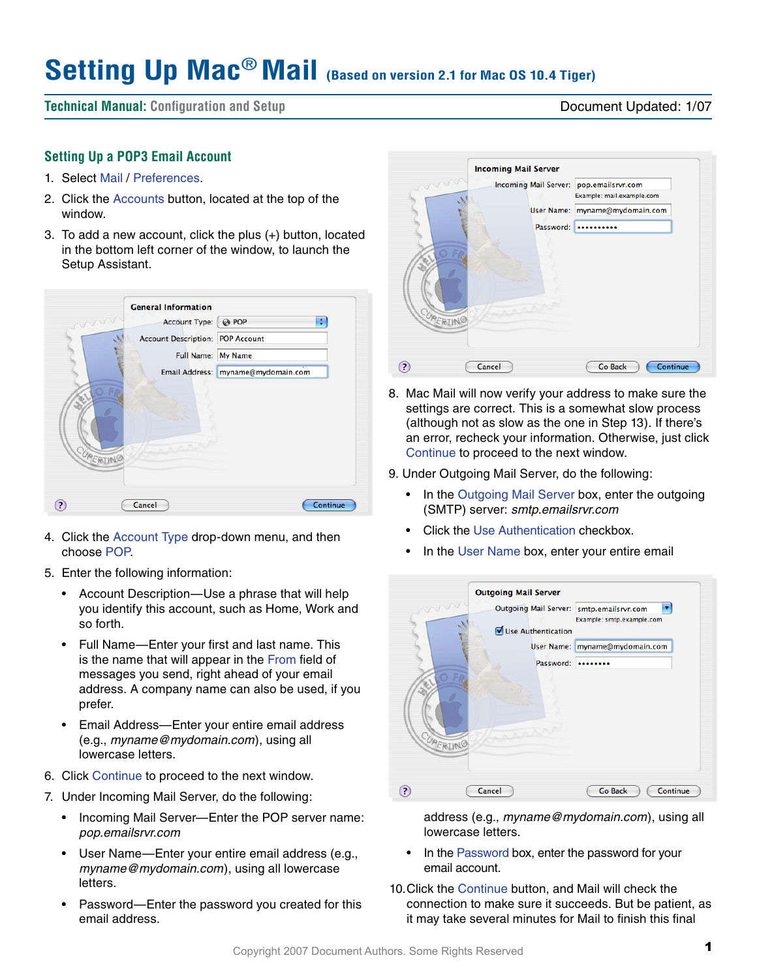# **Setting Up Mac**® **Mail (Based on version 2.1 for Mac OS 10.4 Tiger)**

# **Technical Manual: Configuration and Setup** Document Updated: 1/07

# **Setting Up a POP3 Email Account**

- 1. Select Mail / Preferences.
- 2. Click the Accounts button, located at the top of the window.
- 3. To add a new account, click the plus (+) button, located in the bottom left corner of the window, to launch the Setup Assistant.

| murri                   | <b>General Information</b><br>Account Type: @ POP             | ÷                                  |          |
|-------------------------|---------------------------------------------------------------|------------------------------------|----------|
|                         | <b>Account Description: POP Account</b><br>Full Name: My Name |                                    |          |
|                         |                                                               |                                    |          |
|                         |                                                               | Email Address: myname@mydomain.com |          |
| UPERINO                 | AAAAV                                                         |                                    |          |
| $\overline{\mathbf{r}}$ | Cancel                                                        |                                    | Continue |

- 4. Click the Account Type drop-down menu, and then choose POP.
- 5. Enter the following information:
	- Account Description—Use a phrase that will help you identify this account, such as Home, Work and so forth.
	- Full Name—Enter your first and last name. This is the name that will appear in the From field of messages you send, right ahead of your email address. A company name can also be used, if you prefer.
	- Email Address—Enter your entire email address (e.g., *myname@mydomain.com*), using all lowercase letters.
- 6. Click Continue to proceed to the next window.
- 7. Under Incoming Mail Server, do the following:
	- Incoming Mail Server—Enter the POP server name: *pop.emailsrvr.com*
	- User Name-Enter your entire email address (e.g., *myname@mydomain.com*), using all lowercase letters.
	- Password—Enter the password you created for this email address.



- 8. Mac Mail will now verify your address to make sure the settings are correct. This is a somewhat slow process (although not as slow as the one in Step 13). If there's an error, recheck your information. Otherwise, just click Continue to proceed to the next window.
- 9. Under Outgoing Mail Server, do the following:
	- In the Outgoing Mail Server box, enter the outgoing (SMTP) server: *smtp.emailsrvr.com*
	- Click the Use Authentication checkbox.
	- In the User Name box, enter your entire email

| www                        | <b>Outgoing Mail Server</b><br>Outgoing Mail Server: smtp.emailsrvr.com<br>Use Authentication | Example: smtp.example.com      |
|----------------------------|-----------------------------------------------------------------------------------------------|--------------------------------|
|                            | Password:                                                                                     | User Name: myname@mydomain.com |
| CUPERINO<br>$\overline{?}$ | AAAA<br>Cancel                                                                                | <b>Go Back</b><br>Continue     |

address (e.g., *myname@mydomain.com*), using all lowercase letters.

- In the Password box, enter the password for your email account.
- 10.Click the Continue button, and Mail will check the connection to make sure it succeeds. But be patient, as it may take several minutes for Mail to finish this final